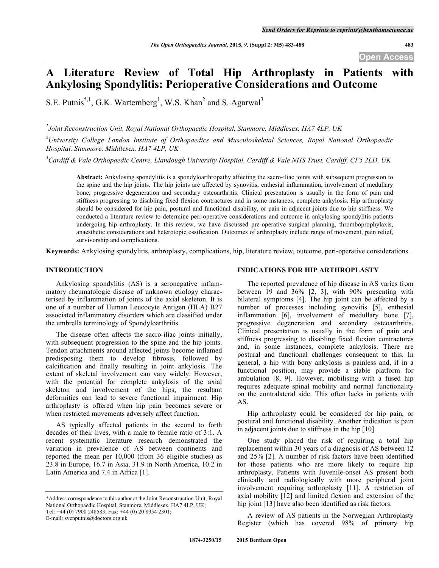## **A Literature Review of Total Hip Arthroplasty in Patients with Ankylosing Spondylitis: Perioperative Considerations and Outcome**

S.E. Putnis<sup>\*,1</sup>, G.K. Wartemberg<sup>1</sup>, W.S. Khan<sup>2</sup> and S. Agarwal<sup>3</sup>

*1 Joint Reconstruction Unit, Royal National Orthopaedic Hospital, Stanmore, Middlesex, HA7 4LP, UK*

*2 University College London Institute of Orthopaedics and Musculoskeletal Sciences, Royal National Orthopaedic Hospital, Stanmore, Middlesex, HA7 4LP, UK*

*3 Cardiff & Vale Orthopaedic Centre, Llandough University Hospital, Cardiff & Vale NHS Trust, Cardiff, CF5 2LD, UK*

**Abstract:** Ankylosing spondylitis is a spondyloarthropathy affecting the sacro-iliac joints with subsequent progression to the spine and the hip joints. The hip joints are affected by synovitis, enthesial inflammation, involvement of medullary bone, progressive degeneration and secondary osteoarthritis. Clinical presentation is usually in the form of pain and stiffness progressing to disabling fixed flexion contractures and in some instances, complete ankylosis. Hip arthroplasty should be considered for hip pain, postural and functional disability, or pain in adjacent joints due to hip stiffness. We conducted a literature review to determine peri-operative considerations and outcome in ankylosing spondylitis patients undergoing hip arthroplasty. In this review, we have discussed pre-operative surgical planning, thromboprophylaxis, anaesthetic considerations and heterotopic ossification. Outcomes of arthroplasty include range of movement, pain relief, survivorship and complications.

**Keywords:** Ankylosing spondylitis, arthroplasty, complications, hip, literature review, outcome, peri-operative considerations.

## **INTRODUCTION**

Ankylosing spondylitis (AS) is a seronegative inflammatory rheumatologic disease of unknown etiology characterised by inflammation of joints of the axial skeleton. It is one of a number of Human Leucocyte Antigen (HLA) B27 associated inflammatory disorders which are classified under the umbrella terminology of Spondyloarthritis.

The disease often affects the sacro-iliac joints initially, with subsequent progression to the spine and the hip joints. Tendon attachments around affected joints become inflamed predisposing them to develop fibrosis, followed by calcification and finally resulting in joint ankylosis. The extent of skeletal involvement can vary widely. However, with the potential for complete ankylosis of the axial skeleton and involvement of the hips, the resultant deformities can lead to severe functional impairment. Hip arthroplasty is offered when hip pain becomes severe or when restricted movements adversely affect function.

AS typically affected patients in the second to forth decades of their lives, with a male to female ratio of 3:1. A recent systematic literature research demonstrated the variation in prevalence of AS between continents and reported the mean per 10,000 (from 36 eligible studies) as 23.8 in Europe, 16.7 in Asia, 31.9 in North America, 10.2 in Latin America and 7.4 in Africa [1].

#### **INDICATIONS FOR HIP ARTHROPLASTY**

The reported prevalence of hip disease in AS varies from between 19 and 36% [2, 3], with 90% presenting with bilateral symptoms [4]. The hip joint can be affected by a number of processes including synovitis [5], enthesial inflammation [6], involvement of medullary bone [7], progressive degeneration and secondary osteoarthritis. Clinical presentation is usually in the form of pain and stiffness progressing to disabling fixed flexion contractures and, in some instances, complete ankylosis. There are postural and functional challenges consequent to this. In general, a hip with bony ankylosis is painless and, if in a functional position, may provide a stable platform for ambulation [8, 9]. However, mobilising with a fused hip requires adequate spinal mobility and normal functionality on the contralateral side. This often lacks in patients with AS.

Hip arthroplasty could be considered for hip pain, or postural and functional disability. Another indication is pain in adjacent joints due to stiffness in the hip [10].

One study placed the risk of requiring a total hip replacement within 30 years of a diagnosis of AS between 12 and 25% [2]. A number of risk factors have been identified for those patients who are more likely to require hip arthroplasty. Patients with Juvenile-onset AS present both clinically and radiologically with more peripheral joint involvement requiring arthroplasty [11]. A restriction of axial mobility [12] and limited flexion and extension of the hip joint [13] have also been identified as risk factors.

A review of AS patients in the Norwegian Arthroplasty Register (which has covered 98% of primary hip

<sup>\*</sup>Address correspondence to this author at the Joint Reconstruction Unit, Royal National Orthopaedic Hospital, Stanmore, Middlesex, HA7 4LP, UK; Tel: +44 (0) 7900 248583; Fax: +44 (0) 20 8954 2301; E-mail: svenputnis@doctors.org.uk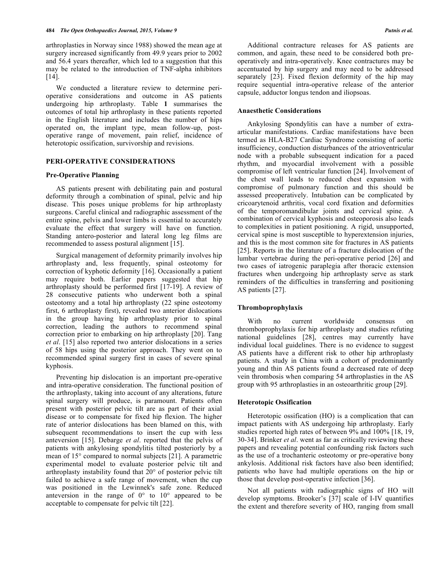arthroplasties in Norway since 1988) showed the mean age at surgery increased significantly from 49.9 years prior to 2002 and 56.4 years thereafter, which led to a suggestion that this may be related to the introduction of TNF-alpha inhibitors [14].

We conducted a literature review to determine perioperative considerations and outcome in AS patients undergoing hip arthroplasty. Table **1** summarises the outcomes of total hip arthroplasty in these patients reported in the English literature and includes the number of hips operated on, the implant type, mean follow-up, postoperative range of movement, pain relief, incidence of heterotopic ossification, survivorship and revisions.

## **PERI-OPERATIVE CONSIDERATIONS**

#### **Pre-Operative Planning**

AS patients present with debilitating pain and postural deformity through a combination of spinal, pelvic and hip disease. This poses unique problems for hip arthroplasty surgeons. Careful clinical and radiographic assessment of the entire spine, pelvis and lower limbs is essential to accurately evaluate the effect that surgery will have on function. Standing antero-posterior and lateral long leg films are recommended to assess postural alignment [15].

Surgical management of deformity primarily involves hip arthroplasty and, less frequently, spinal osteotomy for correction of kyphotic deformity [16]. Occasionally a patient may require both. Earlier papers suggested that hip arthroplasty should be performed first [17-19]. A review of 28 consecutive patients who underwent both a spinal osteotomy and a total hip arthroplasty (22 spine osteotomy first, 6 arthroplasty first), revealed two anterior dislocations in the group having hip arthroplasty prior to spinal correction, leading the authors to recommend spinal correction prior to embarking on hip arthroplasty [20]. Tang *et al*. [15] also reported two anterior dislocations in a series of 58 hips using the posterior approach. They went on to recommended spinal surgery first in cases of severe spinal kyphosis.

Preventing hip dislocation is an important pre-operative and intra-operative consideration. The functional position of the arthroplasty, taking into account of any alterations, future spinal surgery will produce, is paramount. Patients often present with posterior pelvic tilt are as part of their axial disease or to compensate for fixed hip flexion. The higher rate of anterior dislocations has been blamed on this, with subsequent recommendations to insert the cup with less anteversion [15]. Debarge *et al*. reported that the pelvis of patients with ankylosing spondylitis tilted posteriorly by a mean of 15° compared to normal subjects [21]. A parametric experimental model to evaluate posterior pelvic tilt and arthroplasty instability found that 20° of posterior pelvic tilt failed to achieve a safe range of movement, when the cup was positioned in the Lewinnek's safe zone. Reduced anteversion in the range of  $0^{\circ}$  to  $10^{\circ}$  appeared to be acceptable to compensate for pelvic tilt [22].

Additional contracture releases for AS patients are common, and again, these need to be considered both preoperatively and intra-operatively. Knee contractures may be accentuated by hip surgery and may need to be addressed separately [23]. Fixed flexion deformity of the hip may require sequential intra-operative release of the anterior capsule, adductor longus tendon and iliopsoas.

## **Anaesthetic Considerations**

Ankylosing Spondylitis can have a number of extraarticular manifestations. Cardiac manifestations have been termed as HLA-B27 Cardiac Syndrome consisting of aortic insufficiency, conduction disturbances of the atrioventricular node with a probable subsequent indication for a paced rhythm, and myocardial involvement with a possible compromise of left ventricular function [24]. Involvement of the chest wall leads to reduced chest expansion with compromise of pulmonary function and this should be assessed preoperatively. Intubation can be complicated by cricoarytenoid arthritis, vocal cord fixation and deformities of the temporomandibular joints and cervical spine. A combination of cervical kyphosis and osteoporosis also leads to complexities in patient positioning. A rigid, unsupported, cervical spine is most susceptible to hyperextension injuries, and this is the most common site for fractures in AS patients [25]. Reports in the literature of a fracture dislocation of the lumbar vertebrae during the peri-operative period [26] and two cases of iatrogenic paraplegia after thoracic extension fractures when undergoing hip arthroplasty serve as stark reminders of the difficulties in transferring and positioning AS patients [27].

## **Thromboprophylaxis**

With no current worldwide consensus on thromboprophylaxis for hip arthroplasty and studies refuting national guidelines [28], centres may currently have individual local guidelines. There is no evidence to suggest AS patients have a different risk to other hip arthroplasty patients. A study in China with a cohort of predominantly young and thin AS patients found a decreased rate of deep vein thrombosis when comparing 54 arthroplasties in the AS group with 95 arthroplasties in an osteoarthritic group [29].

## **Heterotopic Ossification**

Heterotopic ossification (HO) is a complication that can impact patients with AS undergoing hip arthroplasty. Early studies reported high rates of between 9% and 100% [18, 19, 30-34]. Brinker *et al*. went as far as critically reviewing these papers and revealing potential confounding risk factors such as the use of a trochanteric osteotomy or pre-operative bony ankylosis. Additional risk factors have also been identified; patients who have had multiple operations on the hip or those that develop post-operative infection [36].

Not all patients with radiographic signs of HO will develop symptoms. Brooker's [37] scale of I-IV quantifies the extent and therefore severity of HO, ranging from small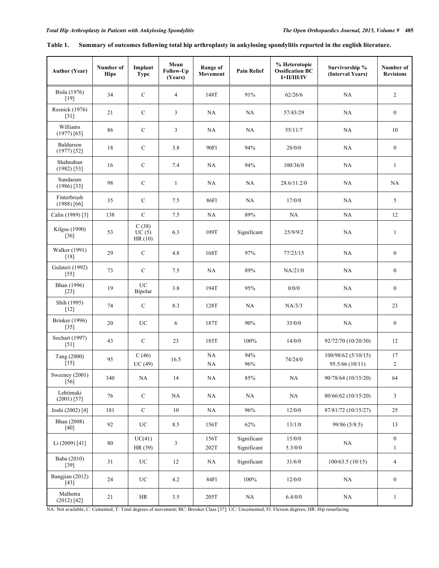| <b>Author (Year)</b>            | Number of<br><b>Hips</b> | Implant<br><b>Type</b>   | Mean<br>Follow-Up<br>(Years) | <b>Range of</b><br>Movement | <b>Pain Relief</b>         | % Heterotopic<br><b>Ossification BC</b><br>I+II/III/IV | Survivorship %<br>(Interval Years)       | Number of<br><b>Revisions</b>    |
|---------------------------------|--------------------------|--------------------------|------------------------------|-----------------------------|----------------------------|--------------------------------------------------------|------------------------------------------|----------------------------------|
| Bisla (1976)<br>$[19]$          | 34                       | ${\bf C}$                | $\overline{4}$               | 148T                        | 91%                        | 62/26/6                                                | NA                                       | $\overline{c}$                   |
| <b>Resnick</b> (1976)<br>$[31]$ | 21                       | $\mathbf C$              | 3                            | NA                          | NA                         | 57/43/29                                               | NA                                       | $\boldsymbol{0}$                 |
| Williams<br>$(1977)$ [65]       | 86                       | $\mathbf C$              | 3                            | NA                          | NA                         | 55/11/7                                                | NA                                       | 10                               |
| Baldurson<br>$(1977)$ [52]      | 18                       | $\mathbf C$              | 3.8                          | 90F1                        | 94%                        | 28/0/0                                                 | NA                                       | $\boldsymbol{0}$                 |
| Shahnahan<br>$(1982)$ [53]      | 16                       | ${\bf C}$                | 7.4                          | NA                          | 94%                        | 100/36/0                                               | NA                                       | $\mathbf{1}$                     |
| Sundaram<br>$(1986)$ [33]       | 98                       | ${\bf C}$                | $\mathbf{1}$                 | NA                          | NA                         | 28.6/11.2/0                                            | NA                                       | NA                               |
| Finterbrush<br>$(1988)$ [66]    | 35                       | $\mathbf C$              | 7.5                          | 86F1                        | NA                         | 17/0/0                                                 | NA                                       | 5                                |
| Calin (1989) [3]                | 138                      | $\mathbf C$              | 7.5                          | NA                          | 89%                        | NA                                                     | NA                                       | 12                               |
| Kilgus (1990)<br>$[36]$         | 53                       | C(38)<br>UC(5)<br>HR(10) | 6.3                          | 109T                        | Significant                | 25/9/9/2                                               | NA                                       | $\mathbf{1}$                     |
| Walker (1991)<br>[18]           | 29                       | $\mathbf C$              | 4.8                          | 168T                        | 97%                        | 77/23/15                                               | NA                                       | $\boldsymbol{0}$                 |
| Gulateri (1992)<br>$[55]$       | 73                       | ${\bf C}$                | 7.5                          | NA                          | $89\%$                     | NA/21/0                                                | NA                                       | $\boldsymbol{0}$                 |
| Bhan (1996)<br>$[23]$           | 19                       | <b>UC</b><br>Bipolar     | 3.8                          | 194T                        | 95%                        | 0/0/0                                                  | $\rm NA$                                 | $\boldsymbol{0}$                 |
| Shih (1995)<br>$[12]$           | 74                       | $\mathbf C$              | 8.3                          | 128T                        | NA                         | NA/3/3                                                 | NA                                       | 23                               |
| <b>Brinker</b> (1996)<br>$[35]$ | 20                       | UC                       | 6                            | 187T                        | 90%                        | 35/0/0                                                 | NA                                       | $\boldsymbol{0}$                 |
| Sochart (1997)<br>$[51]$        | 43                       | $\mathbf C$              | 23                           | 185T                        | 100%                       | 14/0/0                                                 | 92/72/70 (10/20/30)                      | 12                               |
| Tang (2000)<br>$[15]$           | 95                       | C(46)<br>UC(49)          | 16.5                         | NA<br>NA                    | 94%<br>$96\%$              | 74/24/0                                                | $100/98/62$ (5/10/15)<br>95.5/66 (10/11) | 17<br>$\overline{c}$             |
| Sweeney (2001)<br>$[56]$        | 340                      | NA                       | 14                           | $\rm NA$                    | $85\%$                     | $\rm NA$                                               | 90/78/64 (10/15/20)                      | 64                               |
| Lehtimaki<br>$(2001)$ [57]      | $76\,$                   | ${\bf C}$                | NA                           | NA                          | $_{\rm NA}$                | $\rm NA$                                               | 80/66/62 (10/15/20)                      | $\mathfrak{Z}$                   |
| Joshi (2002) [4]                | 181                      | $\mathbf C$              | $10\,$                       | NA                          | 96%                        | 12/0/0                                                 | 87/81/72 (10/15/27)                      | 25                               |
| Bhan (2008)<br>$[40]$           | 92                       | $_{\mathrm{UC}}$         | 8.5                          | 156T                        | 62%                        | 13/1/0                                                 | 99/86 (5/8.5)                            | 13                               |
| Li (2009) [41]                  | 80                       | UC(41)<br>HR(39)         | 3                            | 156T<br>202T                | Significant<br>Significant | 15/0/0<br>5.3/0/0                                      | $\rm NA$                                 | $\boldsymbol{0}$<br>$\mathbf{1}$ |
| Baba (2010)<br>$[39]$           | 31                       | UC                       | 12                           | NA                          | Significant                | 31/6/0                                                 | 100/63.5(10/15)                          | 4                                |
| Bangjian (2012)<br>$[43]$       | 24                       | $_{\mathrm{UC}}$         | 4.2                          | 84F1                        | $100\%$                    | 12/0/0                                                 | NA                                       | $\boldsymbol{0}$                 |
| Malhotra<br>(2012) [42]         | 21                       | HR                       | 3.5                          | 205T                        | $\rm NA$                   | 6.4/0/0                                                | NA                                       | $\mathbf{1}$                     |

| Table 1. |  |  | Summary of outcomes following total hip arthroplasty in ankylosing spondylitis reported in the english literature. |
|----------|--|--|--------------------------------------------------------------------------------------------------------------------|
|          |  |  |                                                                                                                    |

NA: Not available; C: Cemented; T: Total degrees of movement; BC: Brooker Class [37]; UC: Uncemented; Fl: Flexion degrees; HR: Hip resurfacing.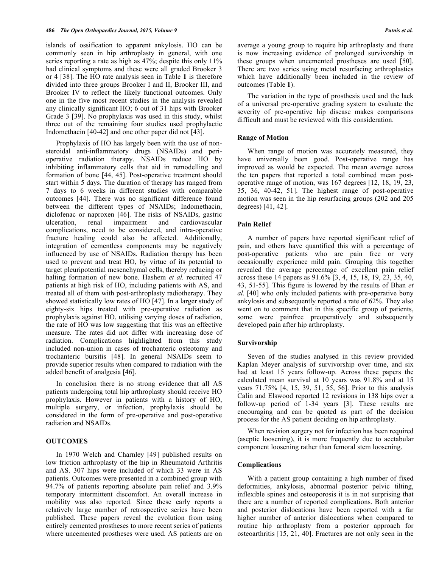islands of ossification to apparent ankylosis. HO can be commonly seen in hip arthroplasty in general, with one series reporting a rate as high as 47%; despite this only 11% had clinical symptoms and these were all graded Brooker 3 or 4 [38]. The HO rate analysis seen in Table **1** is therefore divided into three groups Brooker I and II, Brooker III, and Brooker IV to reflect the likely functional outcomes. Only one in the five most recent studies in the analysis revealed any clinically significant HO; 6 out of 31 hips with Brooker Grade 3 [39]. No prophylaxis was used in this study, whilst three out of the remaining four studies used prophylactic Indomethacin [40-42] and one other paper did not [43].

Prophylaxis of HO has largely been with the use of nonsteroidal anti-inflammatory drugs (NSAIDs) and perioperative radiation therapy. NSAIDs reduce HO by inhibiting inflammatory cells that aid in remodelling and formation of bone [44, 45]. Post-operative treatment should start within 5 days. The duration of therapy has ranged from 7 days to 6 weeks in different studies with comparable outcomes [44]. There was no significant difference found between the different types of NSAIDs; Indomethacin, diclofenac or naproxen [46]. The risks of NSAIDs, gastric ulceration, renal impairment and cardiovascular complications, need to be considered, and intra-operative fracture healing could also be affected. Additionally, integration of cementless components may be negatively influenced by use of NSAIDs. Radiation therapy has been used to prevent and treat HO, by virtue of its potential to target pleuripotential mesenchymal cells, thereby reducing or halting formation of new bone. Hashem *et al.* recruited 47 patients at high risk of HO, including patients with AS, and treated all of them with post-arthroplasty radiotherapy. They showed statistically low rates of HO [47]. In a larger study of eighty-six hips treated with pre-operative radiation as prophylaxis against HO, utilising varying doses of radiation, the rate of HO was low suggesting that this was an effective measure. The rates did not differ with increasing dose of radiation. Complications highlighted from this study included non-union in cases of trochanteric osteotomy and trochanteric bursitis [48]. In general NSAIDs seem to provide superior results when compared to radiation with the added benefit of analgesia [46].

In conclusion there is no strong evidence that all AS patients undergoing total hip arthroplasty should receive HO prophylaxis. However in patients with a history of HO, multiple surgery, or infection, prophylaxis should be considered in the form of pre-operative and post-operative radiation and NSAIDs.

## **OUTCOMES**

In 1970 Welch and Charnley [49] published results on low friction arthroplasty of the hip in Rheumatoid Arthritis and AS. 307 hips were included of which 33 were in AS patients. Outcomes were presented in a combined group with 94.7% of patients reporting absolute pain relief and 3.9% temporary intermittent discomfort. An overall increase in mobility was also reported. Since these early reports a relatively large number of retrospective series have been published. These papers reveal the evolution from using entirely cemented prostheses to more recent series of patients where uncemented prostheses were used. AS patients are on

average a young group to require hip arthroplasty and there is now increasing evidence of prolonged survivorship in these groups when uncemented prostheses are used [50]. There are two series using metal resurfacing arthroplasties which have additionally been included in the review of outcomes (Table **1**).

The variation in the type of prosthesis used and the lack of a universal pre-operative grading system to evaluate the severity of pre-operative hip disease makes comparisons difficult and must be reviewed with this consideration.

#### **Range of Motion**

When range of motion was accurately measured, they have universally been good. Post-operative range has improved as would be expected. The mean average across the ten papers that reported a total combined mean postoperative range of motion, was 167 degrees [12, 18, 19, 23, 35, 36, 40-42, 51]. The highest range of post-operative motion was seen in the hip resurfacing groups (202 and 205 degrees) [41, 42].

## **Pain Relief**

A number of papers have reported significant relief of pain, and others have quantified this with a percentage of post-operative patients who are pain free or very occasionally experience mild pain. Grouping this together revealed the average percentage of excellent pain relief across these 14 papers as 91.6% [3, 4, 15, 18, 19, 23, 35, 40, 43, 51-55]. This figure is lowered by the results of Bhan *et al.* [40] who only included patients with pre-operative bony ankylosis and subsequently reported a rate of 62%. They also went on to comment that in this specific group of patients, some were painfree preoperatively and subsequently developed pain after hip arthroplasty.

#### **Survivorship**

Seven of the studies analysed in this review provided Kaplan Meyer analysis of survivorship over time, and six had at least 15 years follow-up. Across these papers the calculated mean survival at 10 years was 91.8% and at 15 years 71.75% [4, 15, 39, 51, 55, 56]. Prior to this analysis Calin and Elswood reported 12 revisions in 138 hips over a follow-up period of 1-34 years [3]. These results are encouraging and can be quoted as part of the decision process for the AS patient deciding on hip arthroplasty.

When revision surgery not for infection has been required (aseptic loosening), it is more frequently due to acetabular component loosening rather than femoral stem loosening.

#### **Complications**

With a patient group containing a high number of fixed deformities, ankylosis, abnormal posterior pelvic tilting, inflexible spines and osteoporosis it is in not surprising that there are a number of reported complications. Both anterior and posterior dislocations have been reported with a far higher number of anterior dislocations when compared to routine hip arthroplasty from a posterior approach for osteoarthritis [15, 21, 40]. Fractures are not only seen in the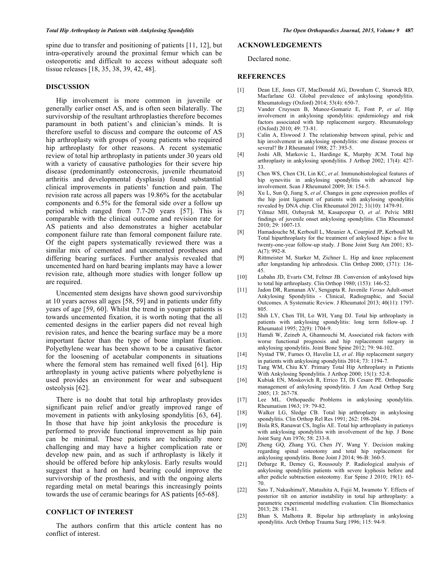spine due to transfer and positioning of patients [11, 12], but intra-operatively around the proximal femur which can be osteoporotic and difficult to access without adequate soft tissue releases [18, 35, 38, 39, 42, 48].

#### **DISCUSSION**

Hip involvement is more common in juvenile or generally earlier onset AS, and is often seen bilaterally. The survivorship of the resultant arthroplasties therefore becomes paramount in both patient's and clinician's minds. It is therefore useful to discuss and compare the outcome of AS hip arthroplasty with groups of young patients who required hip arthroplasty for other reasons. A recent systematic review of total hip arthroplasty in patients under 30 years old with a variety of causative pathologies for their severe hip disease (predominantly osteonecrosis, juvenile rheumatoid arthritis and developmental dysplasia) found substantial clinical improvements in patients' function and pain. The revision rate across all papers was 19.86% for the acetabular components and 6.5% for the femoral side over a follow up period which ranged from 7.7-20 years [57]. This is comparable with the clinical outcome and revision rate for AS patients and also demonstrates a higher acetabular component failure rate than femoral component failure rate. Of the eight papers systematically reviewed there was a similar mix of cemented and uncemented prostheses and differing bearing surfaces. Further analysis revealed that uncemented hard on hard bearing implants may have a lower revision rate, although more studies with longer follow up are required.

Uncemented stem designs have shown good survivorship at 10 years across all ages [58, 59] and in patients under fifty years of age [59, 60]. Whilst the trend in younger patients is towards uncemented fixation, it is worth noting that the all cemented designs in the earlier papers did not reveal high revision rates, and hence the bearing surface may be a more important factor than the type of bone implant fixation. Polyethylene wear has been shown to be a causative factor for the loosening of acetabular components in situations where the femoral stem has remained well fixed [61]. Hip arthroplasty in young active patients where polyethylene is used provides an environment for wear and subsequent osteolysis [62].

There is no doubt that total hip arthroplasty provides significant pain relief and/or greatly improved range of movement in patients with ankylosing spondylitis [63, 64]. In those that have hip joint ankylosis the procedure is performed to provide functional improvement as hip pain can be minimal. These patients are technically more challenging and may have a higher complication rate or develop new pain, and as such if arthroplasty is likely it should be offered before hip ankylosis. Early results would suggest that a hard on hard bearing could improve the survivorship of the prosthesis, and with the ongoing alerts regarding metal on metal bearings this increasingly points towards the use of ceramic bearings for AS patients [65-68].

## **CONFLICT OF INTEREST**

The authors confirm that this article content has no conflict of interest.

# **ACKNOWLEDGEMENTS**

## Declared none.

#### **REFERENCES**

- [1] Dean LE, Jones GT, MacDonald AG, Downham C, Sturrock RD, Macfarlane GJ. Global prevalence of ankylosing spondylitis. Rheumatology (Oxford) 2014; 53(4): 650-7.
- [2] Vander Cruyssen B, Munoz-Gomariz E, Font P, *et al*. Hip involvement in ankylosing spondylitis: epidemiology and risk factors associated with hip replacement surgery. Rheumatology (Oxford) 2010; 49: 73-81.
- [3] Calin A, Elswood J. The relationship between spinal, pelvic and hip involvement in ankylosing spondylitis: one disease process or several? Br J Rheumatol 1988; 27: 393-5.
- [4] Joshi AB, Markovic L, Hardinge K, Murphy JCM. Total hip arthroplasty in ankylosing spondylitis. J Arthop 2002; 17(4): 427- 33.
- [5] Chen WS, Chen CH, Lin KC, *et al*. Immunohistological features of hip synovitis in ankylosing spondylitis with advanced hip involvement. Scan J Rheumatol 2009; 38: 154-5.
- [6] Xu L, Sun Q, Jiang S, *et al*. Changes in gene expression profiles of the hip joint ligament of patients with ankylosing spondylitis revealed by DNA chip. Clin Rheumatol 2012; 31(10): 1479-91.
- [7] Yilmaz MH, Ozbayrak M, Kasapcopur O, *et al*. Pelvic MRI findings of juvenile onset ankylosing spondylitis. Clin Rheumatol 2010; 29: 1007-13.
- [8] Hamadouche M, Kerboull L, Meunier A, Courpied JP, Kerboull M. Total hiparthroplasty for the treatment of ankylosed hips: a five to twenty-one-year follow-up study. J Bone Joint Surg Am 2001; 83- A(7): 992-8.
- [9] Rittmeister M, Starker M, Zichner L. Hip and knee replacement after longstanding hip arthrodesis. Clin Orthop 2000; (371): 136- 45.
- [10] Lubahn JD, Evarts CM, Feltner JB. Conversion of ankylosed hips to total hip arthroplasty. Clin Orthop 1980; (153): 146-52.
- [11] Jadon DR, Ramanan AV, Sengupta R. Juvenile *Versus* Adult-onset Ankylosing Spondylitis - Clinical, Radiographic, and Social Outcomes. A Systematic Review. J Rheumatol 2013; 40(11): 1797- 805.
- [12] Shih LY, Chen TH, Lo WH, Yang DJ. Total hip arthroplasty in patients with ankylosing spondylitis: long term follow-up. J Rheumatol 1995; 22(9): 1704-9.
- [13] Hamdi W, Zeineb A, Ghannouchi M, Associated risk factors with worse functional prognosis and hip replacement surgery in ankylosing spondylitis. Joint Bone Spine 2012; 79: 94-102.
- [14] Nystad TW, Furnes O, Havelin LI, *et al*. Hip replacement surgery in patients with ankylosing spondylitis 2014; 73: 1194-7.
- [15] Tang WM, Chiu KY. Primary Total Hip Arthroplasty in Patients With Ankylosing Spondylitis. J Arthop  $2000$ ;  $15(1)$ :  $52-8$ .
- [16] Kubiak EN, Moskovich R, Errico TJ, Di Cesare PE. Orthopaedic management of ankylosing spondylitis. J Am Acad Orthop Surg 2005; 13: 267-78.
- [17] Lee ML. Orthopaedic Problems in ankylosing spondylitis. Rheumatism 1963; 19: 79-82.
- [18] Walker LG, Sledge CB. Total hip arthroplasty in ankylosing spondylitis. Clin Orthop Rel Res 1991; 262: 198-204.
- [19] Bisla RS, Ranawat CS, Inglis AE. Total hip arthroplasty in patienys with ankylosing spondylitis with involvement of the hip. J Bone Joint Surg Am 1976; 58: 233-8.
- [20] Zheng GQ, Zhang YG, Chen JY, Wang Y. Decision making regarding spinal osteotomy and total hip replacement for ankylosing spondylitis. Bone Joint J 2014; 96-B: 360-5.
- [21] Debarge R, Demey G, Roussouly P. Radiological analysis of ankylosing spondylitis patients with severe kyphosis before and after pedicle subtraction osteotomy. Eur Spine J 2010; 19(1): 65- 70.
- [22] Sato T, NakashimaY, Matushita A, Fujii M, Iwamoto Y. Effects of posterior tilt on anterior instability in total hip arthroplasty: a parametric experimental modelling evaluation. Clin Biomechanics 2013; 28: 178-81.
- [23] Bhan S, Malhotra R. Bipolar hip arthroplasty in ankylosing spondylitis. Arch Orthop Trauma Surg 1996; 115: 94-9.